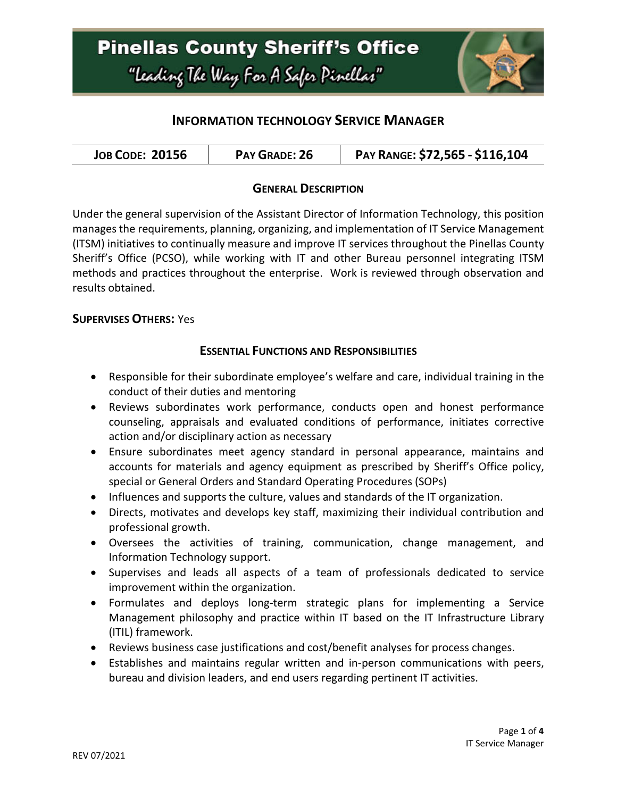

### **INFORMATION TECHNOLOGY SERVICE MANAGER**

| <b>JOB CODE: 20156</b><br>PAY GRADE: 26 | PAY RANGE: \$72,565 - \$116,104 |
|-----------------------------------------|---------------------------------|
|-----------------------------------------|---------------------------------|

### **GENERAL DESCRIPTION**

Under the general supervision of the Assistant Director of Information Technology, this position manages the requirements, planning, organizing, and implementation of IT Service Management (ITSM) initiatives to continually measure and improve IT services throughout the Pinellas County Sheriff's Office (PCSO), while working with IT and other Bureau personnel integrating ITSM methods and practices throughout the enterprise. Work is reviewed through observation and results obtained.

### **SUPERVISES OTHERS:** Yes

### **ESSENTIAL FUNCTIONS AND RESPONSIBILITIES**

- Responsible for their subordinate employee's welfare and care, individual training in the conduct of their duties and mentoring
- Reviews subordinates work performance, conducts open and honest performance counseling, appraisals and evaluated conditions of performance, initiates corrective action and/or disciplinary action as necessary
- Ensure subordinates meet agency standard in personal appearance, maintains and accounts for materials and agency equipment as prescribed by Sheriff's Office policy, special or General Orders and Standard Operating Procedures (SOPs)
- Influences and supports the culture, values and standards of the IT organization.
- Directs, motivates and develops key staff, maximizing their individual contribution and professional growth.
- Oversees the activities of training, communication, change management, and Information Technology support.
- Supervises and leads all aspects of a team of professionals dedicated to service improvement within the organization.
- Formulates and deploys long-term strategic plans for implementing a Service Management philosophy and practice within IT based on the IT Infrastructure Library (ITIL) framework.
- Reviews business case justifications and cost/benefit analyses for process changes.
- Establishes and maintains regular written and in-person communications with peers, bureau and division leaders, and end users regarding pertinent IT activities.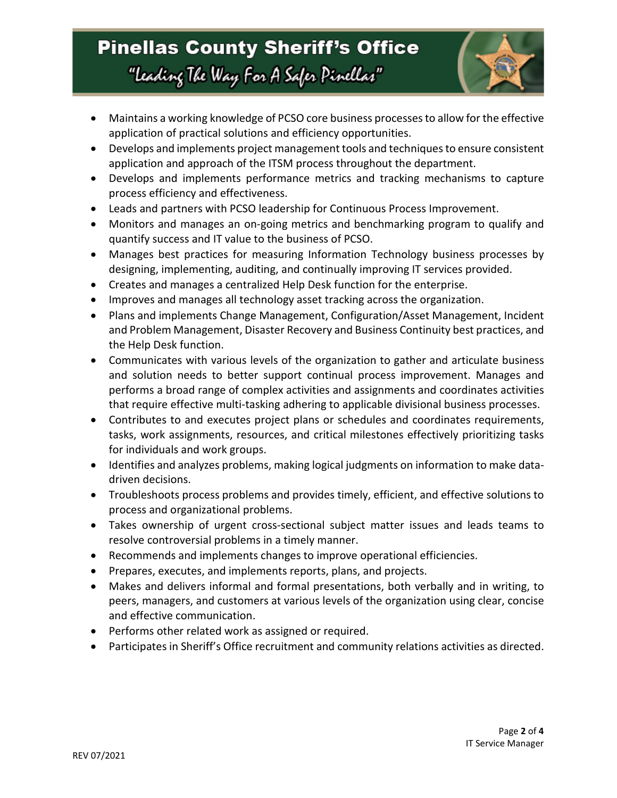# **Pinellas County Sheriff's Office** "Leading The Way For A Safer Pinellar"



- Maintains a working knowledge of PCSO core business processes to allow for the effective application of practical solutions and efficiency opportunities.
- Develops and implements project management tools and techniques to ensure consistent application and approach of the ITSM process throughout the department.
- Develops and implements performance metrics and tracking mechanisms to capture process efficiency and effectiveness.
- Leads and partners with PCSO leadership for Continuous Process Improvement.
- Monitors and manages an on-going metrics and benchmarking program to qualify and quantify success and IT value to the business of PCSO.
- Manages best practices for measuring Information Technology business processes by designing, implementing, auditing, and continually improving IT services provided.
- Creates and manages a centralized Help Desk function for the enterprise.
- Improves and manages all technology asset tracking across the organization.
- Plans and implements Change Management, Configuration/Asset Management, Incident and Problem Management, Disaster Recovery and Business Continuity best practices, and the Help Desk function.
- Communicates with various levels of the organization to gather and articulate business and solution needs to better support continual process improvement. Manages and performs a broad range of complex activities and assignments and coordinates activities that require effective multi-tasking adhering to applicable divisional business processes.
- Contributes to and executes project plans or schedules and coordinates requirements, tasks, work assignments, resources, and critical milestones effectively prioritizing tasks for individuals and work groups.
- Identifies and analyzes problems, making logical judgments on information to make datadriven decisions.
- Troubleshoots process problems and provides timely, efficient, and effective solutions to process and organizational problems.
- Takes ownership of urgent cross-sectional subject matter issues and leads teams to resolve controversial problems in a timely manner.
- Recommends and implements changes to improve operational efficiencies.
- Prepares, executes, and implements reports, plans, and projects.
- Makes and delivers informal and formal presentations, both verbally and in writing, to peers, managers, and customers at various levels of the organization using clear, concise and effective communication.
- Performs other related work as assigned or required.
- Participates in Sheriff's Office recruitment and community relations activities as directed.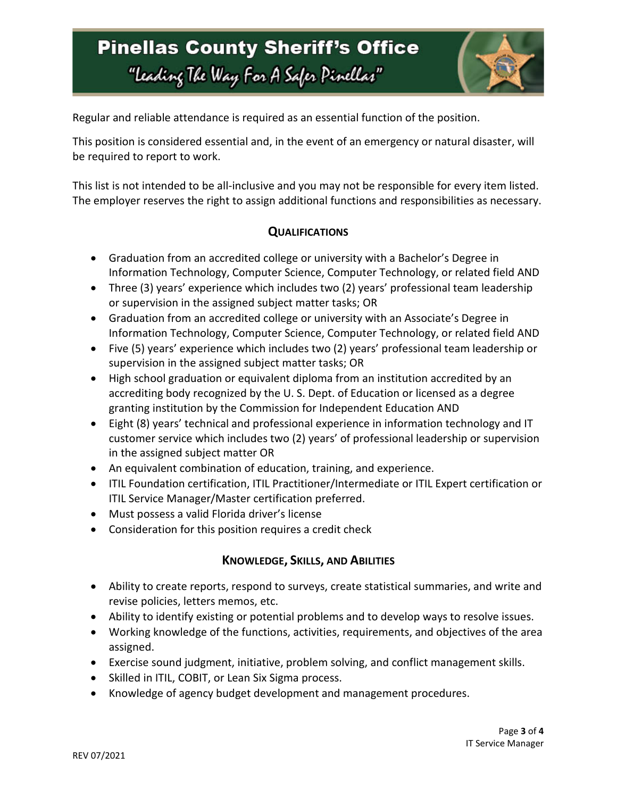# **Pinellas County Sheriff's Office** "Leading The Way For A Safer Pinellar"



Regular and reliable attendance is required as an essential function of the position.

This position is considered essential and, in the event of an emergency or natural disaster, will be required to report to work.

This list is not intended to be all-inclusive and you may not be responsible for every item listed. The employer reserves the right to assign additional functions and responsibilities as necessary.

## **QUALIFICATIONS**

- Graduation from an accredited college or university with a Bachelor's Degree in Information Technology, Computer Science, Computer Technology, or related field AND
- Three (3) years' experience which includes two (2) years' professional team leadership or supervision in the assigned subject matter tasks; OR
- Graduation from an accredited college or university with an Associate's Degree in Information Technology, Computer Science, Computer Technology, or related field AND
- Five (5) years' experience which includes two (2) years' professional team leadership or supervision in the assigned subject matter tasks; OR
- High school graduation or equivalent diploma from an institution accredited by an accrediting body recognized by the U. S. Dept. of Education or licensed as a degree granting institution by the Commission for Independent Education AND
- Eight (8) years' technical and professional experience in information technology and IT customer service which includes two (2) years' of professional leadership or supervision in the assigned subject matter OR
- An equivalent combination of education, training, and experience.
- ITIL Foundation certification, ITIL Practitioner/Intermediate or ITIL Expert certification or ITIL Service Manager/Master certification preferred.
- Must possess a valid Florida driver's license
- Consideration for this position requires a credit check

### **KNOWLEDGE, SKILLS, AND ABILITIES**

- Ability to create reports, respond to surveys, create statistical summaries, and write and revise policies, letters memos, etc.
- Ability to identify existing or potential problems and to develop ways to resolve issues.
- Working knowledge of the functions, activities, requirements, and objectives of the area assigned.
- Exercise sound judgment, initiative, problem solving, and conflict management skills.
- Skilled in ITIL, COBIT, or Lean Six Sigma process.
- Knowledge of agency budget development and management procedures.